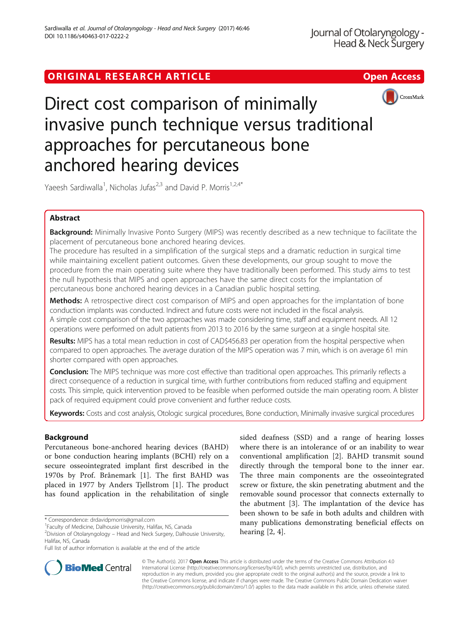# ORIGINAL RESEARCH ARTICLE **External of the Contract Contract Contract Contract Contract Contract Contract Contract Contract Contract Contract Contract Contract Contract Contract Contract Contract Contract Contract Contract**



# Direct cost comparison of minimally invasive punch technique versus traditional approaches for percutaneous bone anchored hearing devices

Yaeesh Sardiwalla<sup>1</sup>, Nicholas Jufas<sup>2,3</sup> and David P. Morris<sup>1,2,4\*</sup>

# Abstract

Background: Minimally Invasive Ponto Surgery (MIPS) was recently described as a new technique to facilitate the placement of percutaneous bone anchored hearing devices.

The procedure has resulted in a simplification of the surgical steps and a dramatic reduction in surgical time while maintaining excellent patient outcomes. Given these developments, our group sought to move the procedure from the main operating suite where they have traditionally been performed. This study aims to test the null hypothesis that MIPS and open approaches have the same direct costs for the implantation of percutaneous bone anchored hearing devices in a Canadian public hospital setting.

Methods: A retrospective direct cost comparison of MIPS and open approaches for the implantation of bone conduction implants was conducted. Indirect and future costs were not included in the fiscal analysis. A simple cost comparison of the two approaches was made considering time, staff and equipment needs. All 12 operations were performed on adult patients from 2013 to 2016 by the same surgeon at a single hospital site.

Results: MIPS has a total mean reduction in cost of CAD\$456.83 per operation from the hospital perspective when compared to open approaches. The average duration of the MIPS operation was 7 min, which is on average 61 min shorter compared with open approaches.

**Conclusion:** The MIPS technique was more cost effective than traditional open approaches. This primarily reflects a direct consequence of a reduction in surgical time, with further contributions from reduced staffing and equipment costs. This simple, quick intervention proved to be feasible when performed outside the main operating room. A blister pack of required equipment could prove convenient and further reduce costs.

Keywords: Costs and cost analysis, Otologic surgical procedures, Bone conduction, Minimally invasive surgical procedures

# Background

Percutaneous bone-anchored hearing devices (BAHD) or bone conduction hearing implants (BCHI) rely on a secure osseointegrated implant first described in the 1970s by Prof. Brånemark [\[1](#page-4-0)]. The first BAHD was placed in 1977 by Anders Tjellstrom [\[1](#page-4-0)]. The product has found application in the rehabilitation of single

sided deafness (SSD) and a range of hearing losses where there is an intolerance of or an inability to wear conventional amplification [[2\]](#page-4-0). BAHD transmit sound directly through the temporal bone to the inner ear. The three main components are the osseointegrated screw or fixture, the skin penetrating abutment and the removable sound processor that connects externally to the abutment [\[3](#page-4-0)]. The implantation of the device has been shown to be safe in both adults and children with many publications demonstrating beneficial effects on hearing [[2, 4](#page-4-0)].



© The Author(s). 2017 **Open Access** This article is distributed under the terms of the Creative Commons Attribution 4.0 International License [\(http://creativecommons.org/licenses/by/4.0/](http://creativecommons.org/licenses/by/4.0/)), which permits unrestricted use, distribution, and reproduction in any medium, provided you give appropriate credit to the original author(s) and the source, provide a link to the Creative Commons license, and indicate if changes were made. The Creative Commons Public Domain Dedication waiver [\(http://creativecommons.org/publicdomain/zero/1.0/](http://creativecommons.org/publicdomain/zero/1.0/)) applies to the data made available in this article, unless otherwise stated.

<sup>\*</sup> Correspondence: [drdavidpmorris@gmail.com](mailto:drdavidpmorris@gmail.com) <sup>1</sup>

<sup>&</sup>lt;sup>1</sup> Faculty of Medicine, Dalhousie University, Halifax, NS, Canada

<sup>&</sup>lt;sup>2</sup> Division of Otolaryngology – Head and Neck Surgery, Dalhousie University, Halifax, NS, Canada

Full list of author information is available at the end of the article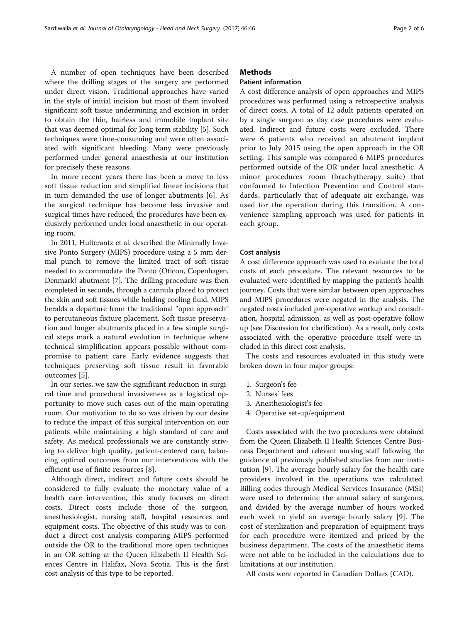A number of open techniques have been described where the drilling stages of the surgery are performed under direct vision. Traditional approaches have varied in the style of initial incision but most of them involved significant soft tissue undermining and excision in order to obtain the thin, hairless and immobile implant site that was deemed optimal for long term stability [\[5](#page-4-0)]. Such techniques were time-consuming and were often associated with significant bleeding. Many were previously performed under general anaesthesia at our institution for precisely these reasons.

In more recent years there has been a move to less soft tissue reduction and simplified linear incisions that in turn demanded the use of longer abutments [\[6](#page-4-0)]. As the surgical technique has become less invasive and surgical times have reduced, the procedures have been exclusively performed under local anaesthetic in our operating room.

In 2011, Hultcrantz et al. described the Minimally Invasive Ponto Surgery (MIPS) procedure using a 5 mm dermal punch to remove the limited tract of soft tissue needed to accommodate the Ponto (Oticon, Copenhagen, Denmark) abutment [[7](#page-4-0)]. The drilling procedure was then completed in seconds, through a cannula placed to protect the skin and soft tissues while holding cooling fluid. MIPS heralds a departure from the traditional "open approach" to percutaneous fixture placement. Soft tissue preservation and longer abutments placed in a few simple surgical steps mark a natural evolution in technique where technical simplification appears possible without compromise to patient care. Early evidence suggests that techniques preserving soft tissue result in favorable outcomes [[5](#page-4-0)].

In our series, we saw the significant reduction in surgical time and procedural invasiveness as a logistical opportunity to move such cases out of the main operating room. Our motivation to do so was driven by our desire to reduce the impact of this surgical intervention on our patients while maintaining a high standard of care and safety. As medical professionals we are constantly striving to deliver high quality, patient-centered care, balancing optimal outcomes from our interventions with the efficient use of finite resources [\[8](#page-4-0)].

Although direct, indirect and future costs should be considered to fully evaluate the monetary value of a health care intervention, this study focuses on direct costs. Direct costs include those of the surgeon, anesthesiologist, nursing staff, hospital resources and equipment costs. The objective of this study was to conduct a direct cost analysis comparing MIPS performed outside the OR to the traditional more open techniques in an OR setting at the Queen Elizabeth II Health Sciences Centre in Halifax, Nova Scotia. This is the first cost analysis of this type to be reported.

# **Methods**

## Patient information

A cost difference analysis of open approaches and MIPS procedures was performed using a retrospective analysis of direct costs. A total of 12 adult patients operated on by a single surgeon as day case procedures were evaluated. Indirect and future costs were excluded. There were 6 patients who received an abutment implant prior to July 2015 using the open approach in the OR setting. This sample was compared 6 MIPS procedures performed outside of the OR under local anesthetic. A minor procedures room (brachytherapy suite) that conformed to Infection Prevention and Control standards, particularly that of adequate air exchange, was used for the operation during this transition. A convenience sampling approach was used for patients in each group.

#### Cost analysis

A cost difference approach was used to evaluate the total costs of each procedure. The relevant resources to be evaluated were identified by mapping the patient's health journey. Costs that were similar between open approaches and MIPS procedures were negated in the analysis. The negated costs included pre-operative workup and consultation, hospital admission, as well as post-operative follow up (see [Discussion](#page-2-0) for clarification). As a result, only costs associated with the operative procedure itself were included in this direct cost analysis.

The costs and resources evaluated in this study were broken down in four major groups:

- 1. Surgeon's fee
- 2. Nurses' fees
- 3. Anesthesiologist's fee
- 4. Operative set-up/equipment

Costs associated with the two procedures were obtained from the Queen Elizabeth II Health Sciences Centre Business Department and relevant nursing staff following the guidance of previously published studies from our institution [\[9](#page-4-0)]. The average hourly salary for the health care providers involved in the operations was calculated. Billing codes through Medical Services Insurance (MSI) were used to determine the annual salary of surgeons, and divided by the average number of hours worked each week to yield an average hourly salary [[9\]](#page-4-0). The cost of sterilization and preparation of equipment trays for each procedure were itemized and priced by the business department. The costs of the anaesthetic items were not able to be included in the calculations due to limitations at our institution.

All costs were reported in Canadian Dollars (CAD).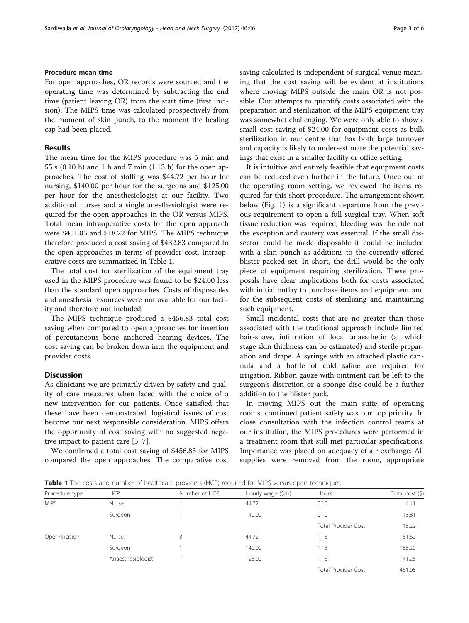# <span id="page-2-0"></span>Procedure mean time

For open approaches, OR records were sourced and the operating time was determined by subtracting the end time (patient leaving OR) from the start time (first incision). The MIPS time was calculated prospectively from the moment of skin punch, to the moment the healing cap had been placed.

# Results

The mean time for the MIPS procedure was 5 min and 55 s (0.10 h) and 1 h and 7 min (1.13 h) for the open approaches. The cost of staffing was \$44.72 per hour for nursing, \$140.00 per hour for the surgeons and \$125.00 per hour for the anesthesiologist at our facility. Two additional nurses and a single anesthesiologist were required for the open approaches in the OR versus MIPS. Total mean intraoperative costs for the open approach were \$451.05 and \$18.22 for MIPS. The MIPS technique therefore produced a cost saving of \$432.83 compared to the open approaches in terms of provider cost. Intraoperative costs are summarized in Table 1.

The total cost for sterilization of the equipment tray used in the MIPS procedure was found to be \$24.00 less than the standard open approaches. Costs of disposables and anesthesia resources were not available for our facility and therefore not included.

The MIPS technique produced a \$456.83 total cost saving when compared to open approaches for insertion of percutaneous bone anchored hearing devices. The cost saving can be broken down into the equipment and provider costs.

# **Discussion**

As clinicians we are primarily driven by safety and quality of care measures when faced with the choice of a new intervention for our patients. Once satisfied that these have been demonstrated, logistical issues of cost become our next responsible consideration. MIPS offers the opportunity of cost saving with no suggested negative impact to patient care [[5](#page-4-0), [7](#page-4-0)].

We confirmed a total cost saving of \$456.83 for MIPS compared the open approaches. The comparative cost saving calculated is independent of surgical venue meaning that the cost saving will be evident at institutions where moving MIPS outside the main OR is not possible. Our attempts to quantify costs associated with the preparation and sterilization of the MIPS equipment tray was somewhat challenging. We were only able to show a small cost saving of \$24.00 for equipment costs as bulk sterilization in our centre that has both large turnover and capacity is likely to under-estimate the potential savings that exist in a smaller facility or office setting.

It is intuitive and entirely feasible that equipment costs can be reduced even further in the future. Once out of the operating room setting, we reviewed the items required for this short procedure. The arrangement shown below (Fig. [1](#page-3-0)) is a significant departure from the previous requirement to open a full surgical tray. When soft tissue reduction was required, bleeding was the rule not the exception and cautery was essential. If the small dissector could be made disposable it could be included with a skin punch as additions to the currently offered blister-packed set. In short, the drill would be the only piece of equipment requiring sterilization. These proposals have clear implications both for costs associated with initial outlay to purchase items and equipment and for the subsequent costs of sterilizing and maintaining such equipment.

Small incidental costs that are no greater than those associated with the traditional approach include limited hair-shave, infiltration of local anaesthetic (at which stage skin thickness can be estimated) and sterile preparation and drape. A syringe with an attached plastic cannula and a bottle of cold saline are required for irrigation. Ribbon gauze with ointment can be left to the surgeon's discretion or a sponge disc could be a further addition to the blister pack.

In moving MIPS out the main suite of operating rooms, continued patient safety was our top priority. In close consultation with the infection control teams at our institution, the MIPS procedures were performed in a treatment room that still met particular specifications. Importance was placed on adequacy of air exchange. All supplies were removed from the room, appropriate

**Table 1** The costs and number of healthcare providers (HCP) required for MIPS versus open techniques

| Procedure type | <b>HCP</b>        | Number of HCP | Hourly wage (\$/h) | Hours                      | Total cost (\$) |
|----------------|-------------------|---------------|--------------------|----------------------------|-----------------|
| <b>MIPS</b>    | Nurse             |               | 44.72              | 0.10                       | 4.41            |
|                | Surgeon           |               | 140.00             | 0.10                       | 13.81           |
|                |                   |               |                    | <b>Total Provider Cost</b> | 18.22           |
| Open/Incision  | Nurse             | 3             | 44.72              | 1.13                       | 151.60          |
|                | Surgeon           |               | 140.00             | 1.13                       | 158.20          |
|                | Anaesthesiologist |               | 125.00             | 1.13                       | 141.25          |
|                |                   |               |                    | <b>Total Provider Cost</b> | 451.05          |
|                |                   |               |                    |                            |                 |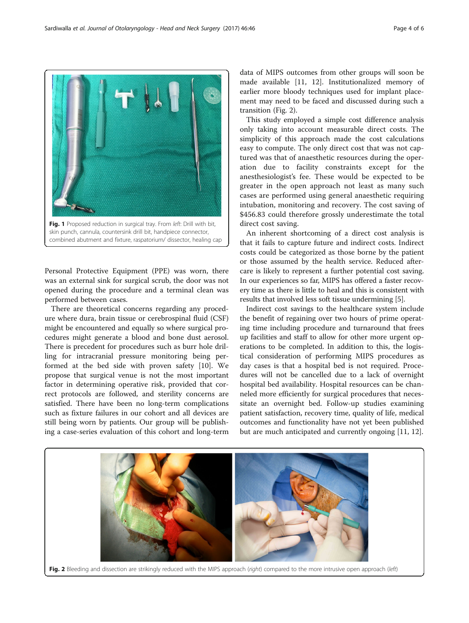Personal Protective Equipment (PPE) was worn, there was an external sink for surgical scrub, the door was not opened during the procedure and a terminal clean was performed between cases.

There are theoretical concerns regarding any procedure where dura, brain tissue or cerebrospinal fluid (CSF) might be encountered and equally so where surgical procedures might generate a blood and bone dust aerosol. There is precedent for procedures such as burr hole drilling for intracranial pressure monitoring being performed at the bed side with proven safety [\[10](#page-4-0)]. We propose that surgical venue is not the most important factor in determining operative risk, provided that correct protocols are followed, and sterility concerns are satisfied. There have been no long-term complications such as fixture failures in our cohort and all devices are still being worn by patients. Our group will be publishing a case-series evaluation of this cohort and long-term data of MIPS outcomes from other groups will soon be made available [[11](#page-5-0), [12\]](#page-5-0). Institutionalized memory of earlier more bloody techniques used for implant placement may need to be faced and discussed during such a transition (Fig. 2).

This study employed a simple cost difference analysis only taking into account measurable direct costs. The simplicity of this approach made the cost calculations easy to compute. The only direct cost that was not captured was that of anaesthetic resources during the operation due to facility constraints except for the anesthesiologist's fee. These would be expected to be greater in the open approach not least as many such cases are performed using general anaesthetic requiring intubation, monitoring and recovery. The cost saving of \$456.83 could therefore grossly underestimate the total direct cost saving.

An inherent shortcoming of a direct cost analysis is that it fails to capture future and indirect costs. Indirect costs could be categorized as those borne by the patient or those assumed by the health service. Reduced aftercare is likely to represent a further potential cost saving. In our experiences so far, MIPS has offered a faster recovery time as there is little to heal and this is consistent with results that involved less soft tissue undermining [[5\]](#page-4-0).

Indirect cost savings to the healthcare system include the benefit of regaining over two hours of prime operating time including procedure and turnaround that frees up facilities and staff to allow for other more urgent operations to be completed. In addition to this, the logistical consideration of performing MIPS procedures as day cases is that a hospital bed is not required. Procedures will not be cancelled due to a lack of overnight hospital bed availability. Hospital resources can be channeled more efficiently for surgical procedures that necessitate an overnight bed. Follow-up studies examining patient satisfaction, recovery time, quality of life, medical outcomes and functionality have not yet been published but are much anticipated and currently ongoing [[11, 12](#page-5-0)].

<span id="page-3-0"></span>

Fig. 1 Proposed reduction in surgical tray. From left: Drill with bit, skin punch, cannula, countersink drill bit, handpiece connector, combined abutment and fixture, raspatorium/ dissector, healing cap

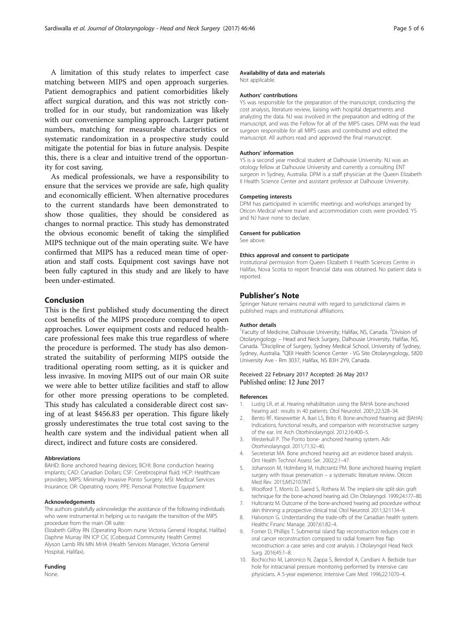<span id="page-4-0"></span>A limitation of this study relates to imperfect case matching between MIPS and open approach surgeries. Patient demographics and patient comorbidities likely affect surgical duration, and this was not strictly controlled for in our study, but randomization was likely with our convenience sampling approach. Larger patient numbers, matching for measurable characteristics or systematic randomization in a prospective study could mitigate the potential for bias in future analysis. Despite this, there is a clear and intuitive trend of the opportunity for cost saving.

As medical professionals, we have a responsibility to ensure that the services we provide are safe, high quality and economically efficient. When alternative procedures to the current standards have been demonstrated to show those qualities, they should be considered as changes to normal practice. This study has demonstrated the obvious economic benefit of taking the simplified MIPS technique out of the main operating suite. We have confirmed that MIPS has a reduced mean time of operation and staff costs. Equipment cost savings have not been fully captured in this study and are likely to have been under-estimated.

### Conclusion

This is the first published study documenting the direct cost benefits of the MIPS procedure compared to open approaches. Lower equipment costs and reduced healthcare professional fees make this true regardless of where the procedure is performed. The study has also demonstrated the suitability of performing MIPS outside the traditional operating room setting, as it is quicker and less invasive. In moving MIPS out of our main OR suite we were able to better utilize facilities and staff to allow for other more pressing operations to be completed. This study has calculated a considerable direct cost saving of at least \$456.83 per operation. This figure likely grossly underestimates the true total cost saving to the health care system and the individual patient when all direct, indirect and future costs are considered.

#### Abbreviations

BAHD: Bone anchored hearing devices; BCHI: Bone conduction hearing implants; CAD: Canadian Dollars; CSF: Cerebrospinal fluid; HCP: Healthcare providers; MIPS: Minimally Invasive Ponto Surgery; MSI: Medical Services Insurance; OR: Operating room; PPE: Personal Protective Equipment

#### Acknowledgements

The authors gratefully acknowledge the assistance of the following individuals who were instrumental in helping us to navigate the transition of the MIPS procedure from the main OR suite:

Elizabeth Gilfoy RN (Operating Room nurse Victoria General Hospital, Halifax) Daphne Murray RN ICP CIC (Cobequid Community Health Centre) Alyson Lamb RN MN MHA (Health Services Manager, Victoria General Hospital, Halifax).

#### Funding

None.

#### Availability of data and materials

Not applicable.

#### Authors' contributions

YS was responsible for the preparation of the manuscript, conducting the cost analysis, literature review, liaising with hospital departments and analyzing the data. NJ was involved in the preparation and editing of the manuscript, and was the Fellow for all of the MIPS cases. DPM was the lead surgeon responsible for all MIPS cases and contributed and edited the manuscript. All authors read and approved the final manuscript.

#### Authors' information

YS is a second year medical student at Dalhousie University. NJ was an otology fellow at Dalhousie University and currently a consulting ENT surgeon in Sydney, Australia. DPM is a staff physician at the Queen Elizabeth II Health Science Center and assistant professor at Dalhousie University.

#### Competing interests

DPM has participated in scientific meetings and workshops arranged by Oticon Medical where travel and accommodation costs were provided. YS and NJ have none to declare.

#### Consent for publication

See above.

#### Ethics approval and consent to participate

Institutional permission from Queen Elizabeth II Health Sciences Centre in Halifax, Nova Scotia to report financial data was obtained. No patient data is reported.

#### Publisher's Note

Springer Nature remains neutral with regard to jurisdictional claims in published maps and institutional affiliations.

#### Author details

<sup>1</sup> Faculty of Medicine, Dalhousie University, Halifax, NS, Canada. <sup>2</sup> Division of Otolaryngology – Head and Neck Surgery, Dalhousie University, Halifax, NS, Canada. <sup>3</sup>Discipline of Surgery, Sydney Medical School, University of Sydney Sydney, Australia. <sup>4</sup>QEII Health Science Center - VG Site Otolaryngology, 5820 University Ave - Rm 3037, Halifax, NS B3H 2Y9, Canada.

#### Received: 22 February 2017 Accepted: 26 May 2017 Published online: 12 June 2017

#### References

- 1. Lustig LR, et al. Hearing rehabilitation using the BAHA bone-anchored hearing aid : results in 40 patients. Otol Neurotol. 2001;22:328–34.
- 2. Bento RF, Kiesewetter A, Ikari LS, Brito R, Bone-anchored hearing aid (BAHA): Indications, functional results, and comparison with reconstructive surgery of the ear. Int Arch Otorhinolaryngol. 2012;16:400–5.
- 3. Westerkull P. The Ponto bone- anchored hearing system. Adv Otorhinolaryngol. 2011;71:32–40.
- 4. Secreteriat MA. Bone anchored hearing aid: an evidence based analysis. Ont Health Technol Assess Ser. 2002;2:1–47.
- Johansson M, Holmberg M, Hultcrantz PM. Bone anchored hearing implant surgery with tissue preservation – a systematic literature review. Oticon Med Rev. 2015;M52107INT.
- 6. Woolford T, Morris D, Saeed S, Rothera M. The implant-site split-skin graft technique for the bone-achored hearing aid. Clin Otolaryngol. 1999;24:177–80.
- 7. Hultcrantz M. Outcome of the bone-anchored hearing aid procedure without skin thinning: a prospective clinical trial. Otol Neurotol. 2011;32:1134–9.
- 8. Halvorson G. Understanding the trade-offs of the Canadian health system. Healthc Financ Manage. 2007;61:82–4.
- 9. Forner D, Phillips T. Submental island flap reconstruction reduces cost in oral cancer reconstruction compared to radial forearm free flap reconstruction: a case series and cost analysis. J Otolaryngol Head Neck Surg. 2016;45:1–8.
- 10. Bochicchio M, Latronico N, Zappa S, Beindorf A, Candiani A. Bedside burr hole for intracranial pressure monitoring performed by intensive care physicians. A 5-year experience. Intensive Care Med. 1996;22:1070–4.